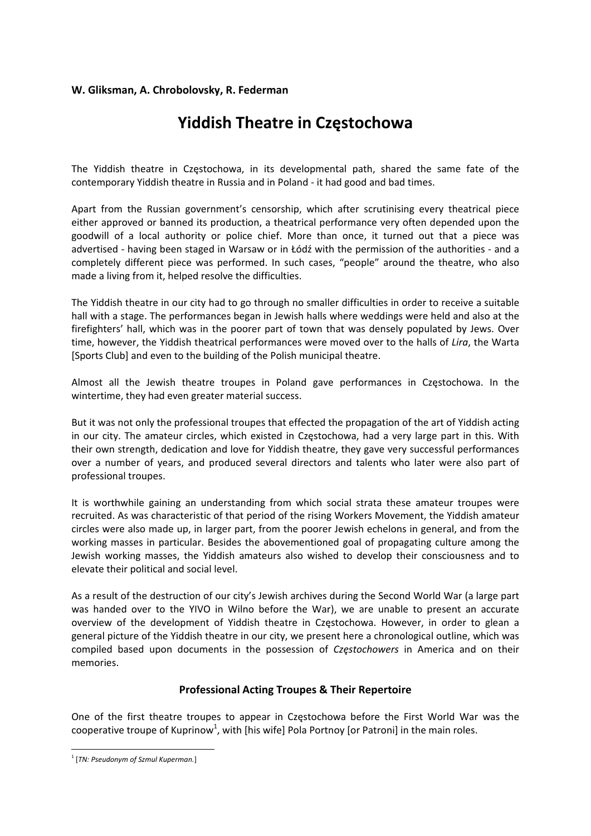## **W. Gliksman, A. Chrobolovsky, R. Federman**

## **Yiddish Theatre in Częstochowa**

The Yiddish theatre in Częstochowa, in its developmental path, shared the same fate of the contemporary Yiddish theatre in Russia and in Poland ‐ it had good and bad times.

Apart from the Russian government's censorship, which after scrutinising every theatrical piece either approved or banned its production, a theatrical performance very often depended upon the goodwill of a local authority or police chief. More than once, it turned out that a piece was advertised ‐ having been staged in Warsaw or in Łódź with the permission of the authorities ‐ and a completely different piece was performed. In such cases, "people" around the theatre, who also made a living from it, helped resolve the difficulties.

The Yiddish theatre in our city had to go through no smaller difficulties in order to receive a suitable hall with a stage. The performances began in Jewish halls where weddings were held and also at the firefighters' hall, which was in the poorer part of town that was densely populated by Jews. Over time, however, the Yiddish theatrical performances were moved over to the halls of *Lira*, the Warta [Sports Club] and even to the building of the Polish municipal theatre.

Almost all the Jewish theatre troupes in Poland gave performances in Częstochowa. In the wintertime, they had even greater material success.

But it was not only the professional troupes that effected the propagation of the art of Yiddish acting in our city. The amateur circles, which existed in Częstochowa, had a very large part in this. With their own strength, dedication and love for Yiddish theatre, they gave very successful performances over a number of years, and produced several directors and talents who later were also part of professional troupes.

It is worthwhile gaining an understanding from which social strata these amateur troupes were recruited. As was characteristic of that period of the rising Workers Movement, the Yiddish amateur circles were also made up, in larger part, from the poorer Jewish echelons in general, and from the working masses in particular. Besides the abovementioned goal of propagating culture among the Jewish working masses, the Yiddish amateurs also wished to develop their consciousness and to elevate their political and social level.

As a result of the destruction of our city's Jewish archives during the Second World War (a large part was handed over to the YIVO in Wilno before the War), we are unable to present an accurate overview of the development of Yiddish theatre in Częstochowa. However, in order to glean a general picture of the Yiddish theatre in our city, we present here a chronological outline, which was compiled based upon documents in the possession of *Częstochowers* in America and on their memories.

## **Professional Acting Troupes & Their Repertoire**

One of the first theatre troupes to appear in Częstochowa before the First World War was the cooperative troupe of Kuprinow<sup>1</sup>, with [his wife] Pola Portnoy [or Patroni] in the main roles.

 <sup>1</sup> [*TN: Pseudonym of Szmul Kuperman.*]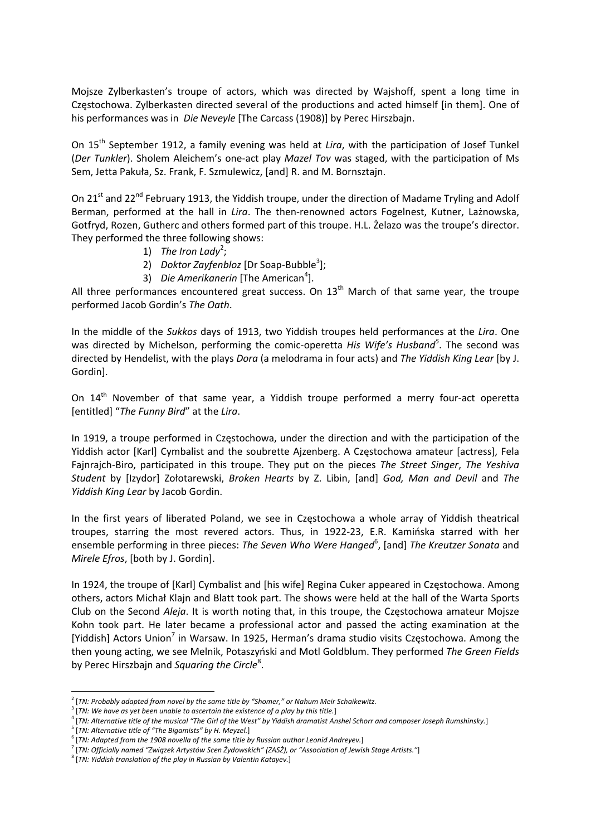Mojsze Zylberkasten's troupe of actors, which was directed by Wajshoff, spent a long time in Częstochowa. Zylberkasten directed several of the productions and acted himself [in them]. One of his performances was in *Die Neveyle* [The Carcass (1908)] by Perec Hirszbajn.

On 15th September 1912, a family evening was held at *Lira*, with the participation of Josef Tunkel (*Der Tunkler*). Sholem Aleichem's one‐act play *Mazel Tov* was staged, with the participation of Ms Sem, Jetta Pakuła, Sz. Frank, F. Szmulewicz, [and] R. and M. Bornsztajn.

On 21<sup>st</sup> and 22<sup>nd</sup> February 1913, the Yiddish troupe, under the direction of Madame Tryling and Adolf Berman, performed at the hall in *Lira*. The then-renowned actors Fogelnest, Kutner, Lażnowska, Gotfryd, Rozen, Gutherc and others formed part of this troupe. H.L. Żelazo was the troupe's director. They performed the three following shows:

- 1) *The Iron Lady*<sup>2</sup> ;
- 2) *Doktor Zayfenbloz* [Dr Soap‐Bubble<sup>3</sup> ];
- 3) *Die Amerikanerin* [The American<sup>4</sup>].

All three performances encountered great success. On  $13<sup>th</sup>$  March of that same year, the troupe performed Jacob Gordin's *The Oath*.

In the middle of the *Sukkos* days of 1913, two Yiddish troupes held performances at the *Lira*. One was directed by Michelson, performing the comic‐operetta *His Wife's Husband<sup>5</sup>* . The second was directed by Hendelist, with the plays *Dora* (a melodrama in four acts) and *The Yiddish King Lear* [by J. Gordin].

On 14<sup>th</sup> November of that same year, a Yiddish troupe performed a merry four-act operetta [entitled] "*The Funny Bird*" at the *Lira*.

In 1919, a troupe performed in Częstochowa, under the direction and with the participation of the Yiddish actor [Karl] Cymbalist and the soubrette Ajzenberg. A Częstochowa amateur [actress], Fela Fajnrajch‐Biro, participated in this troupe. They put on the pieces *The Street Singer*, *The Yeshiva Student* by [Izydor] Zołotarewski, *Broken Hearts* by Z. Libin, [and] *God, Man and Devil* and *The Yiddish King Lear* by Jacob Gordin.

In the first years of liberated Poland, we see in Częstochowa a whole array of Yiddish theatrical troupes, starring the most revered actors. Thus, in 1922‐23, E.R. Kamińska starred with her ensemble performing in three pieces: *The Seven Who Were Hanged*<sup>6</sup>, [and] *The Kreutzer Sonata* and *Mirele Efros*, [both by J. Gordin].

In 1924, the troupe of [Karl] Cymbalist and [his wife] Regina Cuker appeared in Częstochowa. Among others, actors Michał Klajn and Blatt took part. The shows were held at the hall of the Warta Sports Club on the Second *Aleja*. It is worth noting that, in this troupe, the Częstochowa amateur Mojsze Kohn took part. He later became a professional actor and passed the acting examination at the [Yiddish] Actors Union<sup>7</sup> in Warsaw. In 1925, Herman's drama studio visits Częstochowa. Among the then young acting, we see Melnik, Potaszyński and Motl Goldblum. They performed *The Green Fields* by Perec Hirszbajn and *Squaring* the Circle<sup>8</sup>. .

 <sup>2</sup> [*TN: Probably adapted from novel by the same title by "Shomer," or Nahum Meir Schaikewitz.*

<sup>3</sup> [*TN: We have as yet been unable to ascertain the existence of a play by this title.*]

 $^4$  [TN: Alternative title of the musical "The Girl of the West" by Yiddish dramatist Anshel Schorr and composer Joseph Rumshinsky.]<br><sup>5</sup> [TN: Alternative title of "The Bigamists" by H. Meyzel.]

<sup>&</sup>lt;sup>6</sup>[TN: Adapted from the 1908 novella of the same title by Russian author Leonid Andreyev.]

<sup>7&</sup>lt;br>TIN: Officially named "Związek Artystów Scen Żydowskich" (ZASŻ), or "Association of Jewish Stage Artists."]

<sup>8</sup> [*TN: Yiddish translation of the play in Russian by Valentin Katayev.*]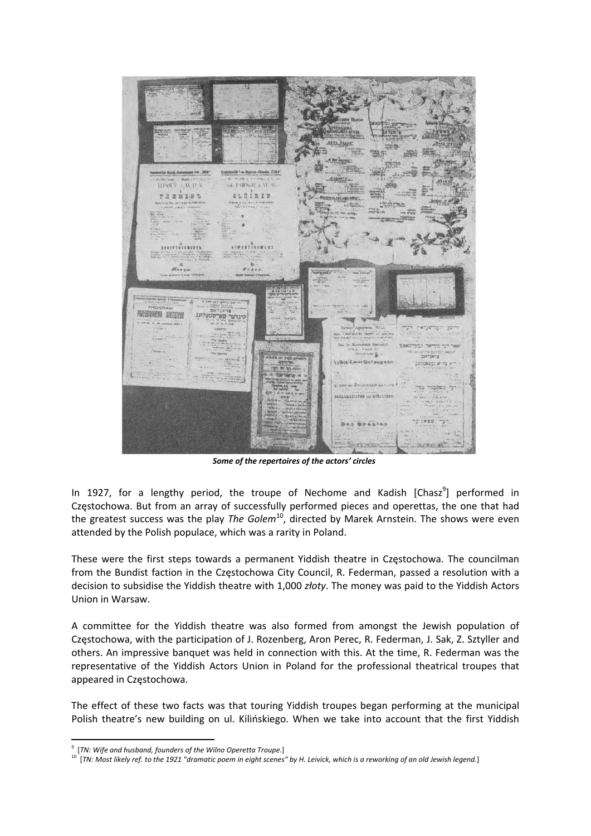

*Some of the repertoires of the actors' circles*

In 1927, for a lengthy period, the troupe of Nechome and Kadish [Chasz<sup>9</sup>] performed in Częstochowa. But from an array of successfully performed pieces and operettas, the one that had the greatest success was the play *The Golem*10, directed by Marek Arnstein. The shows were even attended by the Polish populace, which was a rarity in Poland.

These were the first steps towards a permanent Yiddish theatre in Częstochowa. The councilman from the Bundist faction in the Częstochowa City Council, R. Federman, passed a resolution with a decision to subsidise the Yiddish theatre with 1,000 *złoty*. The money was paid to the Yiddish Actors Union in Warsaw.

A committee for the Yiddish theatre was also formed from amongst the Jewish population of Częstochowa, with the participation of J. Rozenberg, Aron Perec, R. Federman, J. Sak, Z. Sztyller and others. An impressive banquet was held in connection with this. At the time, R. Federman was the representative of the Yiddish Actors Union in Poland for the professional theatrical troupes that appeared in Częstochowa.

The effect of these two facts was that touring Yiddish troupes began performing at the municipal Polish theatre's new building on ul. Kilińskiego. When we take into account that the first Yiddish

<sup>9</sup> [*TN: Wife and husband, founders of the Wilno Operetta Troupe.*]

 $10$  [TN: Most likely ref. to the 1921 "dramatic poem in eight scenes" by H. Leivick, which is a reworking of an old Jewish legend.]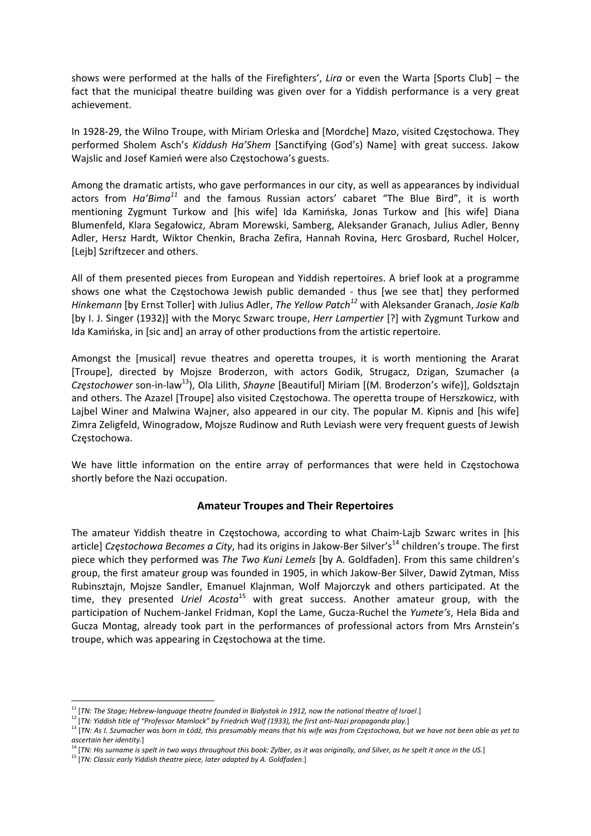shows were performed at the halls of the Firefighters', *Lira* or even the Warta [Sports Club] – the fact that the municipal theatre building was given over for a Yiddish performance is a very great achievement.

In 1928‐29, the Wilno Troupe, with Miriam Orleska and [Mordche] Mazo, visited Częstochowa. They performed Sholem Asch's *Kiddush Ha'Shem* [Sanctifying (God's) Name] with great success. Jakow Wajslic and Josef Kamień were also Częstochowa's guests.

Among the dramatic artists, who gave performances in our city, as well as appearances by individual actors from *Ha'Bima<sup>11</sup>* and the famous Russian actors' cabaret "The Blue Bird", it is worth mentioning Zygmunt Turkow and [his wife] Ida Kamińska, Jonas Turkow and [his wife] Diana Blumenfeld, Klara Segałowicz, Abram Morewski, Samberg, Aleksander Granach, Julius Adler, Benny Adler, Hersz Hardt, Wiktor Chenkin, Bracha Zefira, Hannah Rovina, Herc Grosbard, Ruchel Holcer, [Lejb] Szriftzecer and others.

All of them presented pieces from European and Yiddish repertoires. A brief look at a programme shows one what the Częstochowa Jewish public demanded ‐ thus [we see that] they performed *Hinkemann* [by Ernst Toller] with Julius Adler, *The Yellow Patch<sup>12</sup>* with Aleksander Granach, *Josie Kalb* [by I. J. Singer (1932)] with the Moryc Szwarc troupe, *Herr Lampertier* [?] with Zygmunt Turkow and Ida Kamińska, in [sic and] an array of other productions from the artistic repertoire.

Amongst the [musical] revue theatres and operetta troupes, it is worth mentioning the Ararat [Troupe], directed by Mojsze Broderzon, with actors Godik, Strugacz, Dzigan, Szumacher (a *Częstochower* son‐in‐law13), Ola Lilith, *Shayne* [Beautiful] Miriam [(M. Broderzon's wife)], Goldsztajn and others. The Azazel [Troupe] also visited Częstochowa. The operetta troupe of Herszkowicz, with Lajbel Winer and Malwina Wajner, also appeared in our city. The popular M. Kipnis and [his wife] Zimra Zeligfeld, Winogradow, Mojsze Rudinow and Ruth Leviash were very frequent guests of Jewish Częstochowa.

We have little information on the entire array of performances that were held in Częstochowa shortly before the Nazi occupation.

## **Amateur Troupes and Their Repertoires**

The amateur Yiddish theatre in Częstochowa, according to what Chaim‐Lajb Szwarc writes in [his article] *Częstochowa Becomes a City*, had its origins in Jakow-Ber Silver's<sup>14</sup> children's troupe. The first piece which they performed was *The Two Kuni Lemels* [by A. Goldfaden]. From this same children's group, the first amateur group was founded in 1905, in which Jakow‐Ber Silver, Dawid Zytman, Miss Rubinsztajn, Mojsze Sandler, Emanuel Klajnman, Wolf Majorczyk and others participated. At the time, they presented *Uriel Acosta*<sup>15</sup> with great success. Another amateur group, with the participation of Nuchem‐Jankel Fridman, Kopl the Lame, Gucza‐Ruchel the *Yumete's*, Hela Bida and Gucza Montag, already took part in the performances of professional actors from Mrs Arnstein's troupe, which was appearing in Częstochowa at the time.

 $^{\rm 11}$  [TN: The Stage; Hebrew-language theatre founded in Białystok in 1912, now the national theatre of Israel.]

<sup>&</sup>lt;sup>12</sup> [TN: Yiddish title of "Professor Mamlock" by Friedrich Wolf (1933), the first anti-Nazi propaganda play.]

<sup>&</sup>lt;sup>13</sup> [TN: As I. Szumacher was born in Łódź, this presumably means that his wife was from Częstochowa, but we have not been able as yet to *ascertain her identity.*]

 $^{14}$  [TN: His surname is spelt in two ways throughout this book: Zylber, as it was originally, and Silver, as he spelt it once in the US.]

<sup>15</sup> [*TN: Classic early Yiddish theatre piece, later adapted by A. Goldfaden*.]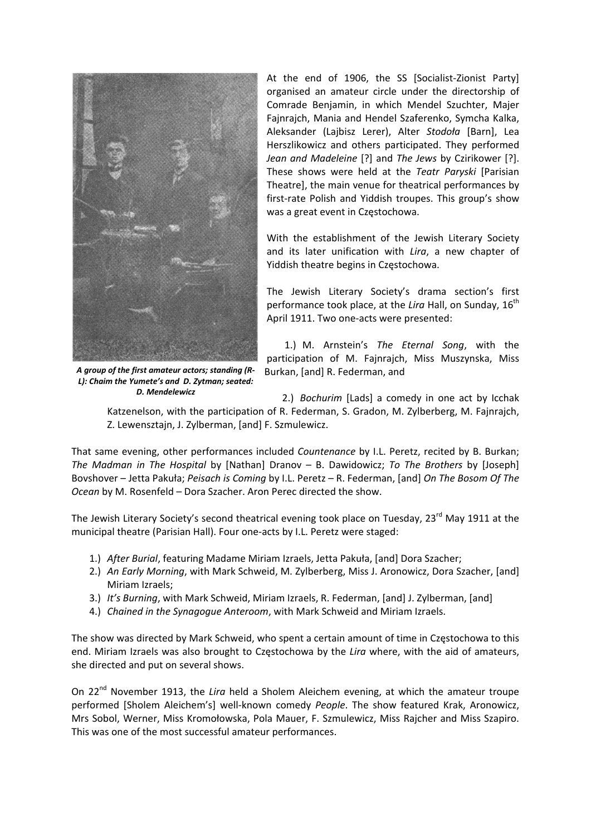

At the end of 1906, the SS [Socialist-Zionist Party] organised an amateur circle under the directorship of Comrade Benjamin, in which Mendel Szuchter, Majer Fajnrajch, Mania and Hendel Szaferenko, Symcha Kalka, Aleksander (Lajbisz Lerer), Alter *Stodoła* [Barn], Lea Herszlikowicz and others participated. They performed *Jean and Madeleine* [?] and *The Jews* by Czirikower [?]. These shows were held at the *Teatr Paryski* [Parisian Theatre], the main venue for theatrical performances by first-rate Polish and Yiddish troupes. This group's show was a great event in Częstochowa.

With the establishment of the Jewish Literary Society and its later unification with *Lira*, a new chapter of Yiddish theatre begins in Częstochowa.

The Jewish Literary Society's drama section's first performance took place, at the *Lira* Hall, on Sunday, 16<sup>th</sup> April 1911. Two one‐acts were presented:

1.) M. Arnstein's *The Eternal Song*, with the participation of M. Fajnrajch, Miss Muszynska, Miss Burkan, [and] R. Federman, and

*A group of the first amateur actors; standing (R‐ L): Chaim the Yumete's and D. Zytman; seated: D. Mendelewicz*

2.) *Bochurim* [Lads] a comedy in one act by Icchak Katzenelson, with the participation of R. Federman, S. Gradon, M. Zylberberg, M. Fajnrajch, Z. Lewensztajn, J. Zylberman, [and] F. Szmulewicz.

That same evening, other performances included *Countenance* by I.L. Peretz, recited by B. Burkan; *The Madman in The Hospital* by [Nathan] Dranov – B. Dawidowicz; *To The Brothers* by [Joseph] Bovshover – Jetta Pakuła; *Peisach is Coming* by I.L. Peretz – R. Federman, [and] *On The Bosom Of The Ocean* by M. Rosenfeld – Dora Szacher. Aron Perec directed the show.

The Jewish Literary Society's second theatrical evening took place on Tuesday, 23<sup>rd</sup> May 1911 at the municipal theatre (Parisian Hall). Four one‐acts by I.L. Peretz were staged:

- 1.) *After Burial*, featuring Madame Miriam Izraels, Jetta Pakuła, [and] Dora Szacher;
- 2.) *An Early Morning*, with Mark Schweid, M. Zylberberg, Miss J. Aronowicz, Dora Szacher, [and] Miriam Izraels;
- 3.) *It's Burning*, with Mark Schweid, Miriam Izraels, R. Federman, [and] J. Zylberman, [and]
- 4.) *Chained in the Synagogue Anteroom*, with Mark Schweid and Miriam Izraels.

The show was directed by Mark Schweid, who spent a certain amount of time in Częstochowa to this end. Miriam Izraels was also brought to Częstochowa by the *Lira* where, with the aid of amateurs, she directed and put on several shows.

On 22<sup>nd</sup> November 1913, the *Lira* held a Sholem Aleichem evening, at which the amateur troupe performed [Sholem Aleichem's] well‐known comedy *People*. The show featured Krak, Aronowicz, Mrs Sobol, Werner, Miss Kromołowska, Pola Mauer, F. Szmulewicz, Miss Rajcher and Miss Szapiro. This was one of the most successful amateur performances.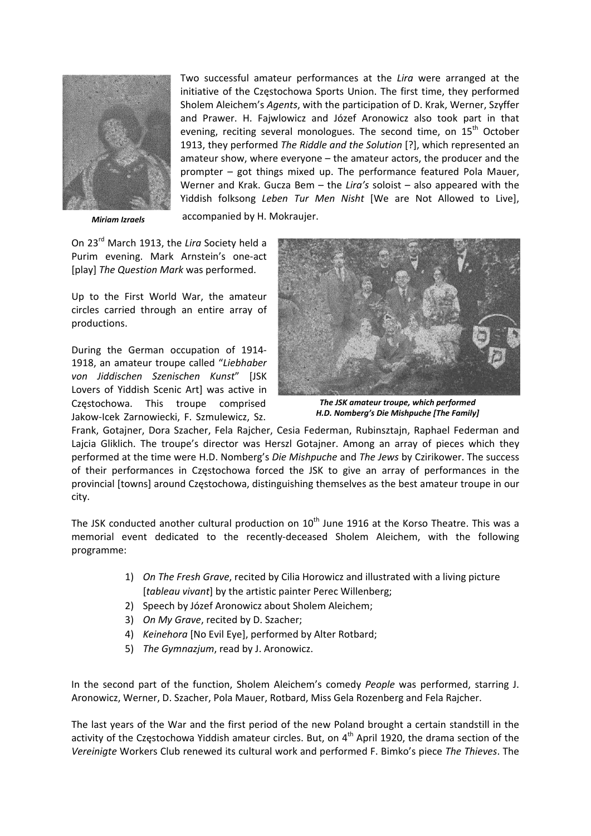

*Miriam Izraels*

Two successful amateur performances at the *Lira* were arranged at the initiative of the Częstochowa Sports Union. The first time, they performed Sholem Aleichem's *Agents*, with the participation of D. Krak, Werner, Szyffer and Prawer. H. Fajwlowicz and Józef Aronowicz also took part in that evening, reciting several monologues. The second time, on 15<sup>th</sup> October 1913, they performed *The Riddle and the Solution* [?], which represented an amateur show, where everyone – the amateur actors, the producer and the prompter – got things mixed up. The performance featured Pola Mauer, Werner and Krak. Gucza Bem – the *Lira's* soloist – also appeared with the Yiddish folksong *Leben Tur Men Nisht* [We are Not Allowed to Live],

accompanied by H. Mokraujer.

On 23rd March 1913, the *Lira* Society held a Purim evening. Mark Arnstein's one‐act [play] *The Question Mark* was performed.

Up to the First World War, the amateur circles carried through an entire array of productions.

During the German occupation of 1914‐ 1918, an amateur troupe called "*Liebhaber von Jiddischen Szenischen Kunst*" [JSK Lovers of Yiddish Scenic Art] was active in Częstochowa. This troupe comprised Jakow‐Icek Zarnowiecki, F. Szmulewicz, Sz.



*The JSK amateur troupe, which performed H.D. Nomberg's Die Mishpuche [The Family]*

Frank, Gotajner, Dora Szacher, Fela Rajcher, Cesia Federman, Rubinsztajn, Raphael Federman and Lajcia Gliklich. The troupe's director was Herszl Gotajner. Among an array of pieces which they performed at the time were H.D. Nomberg's *Die Mishpuche* and *The Jews* by Czirikower. The success of their performances in Częstochowa forced the JSK to give an array of performances in the provincial [towns] around Częstochowa, distinguishing themselves as the best amateur troupe in our city.

The JSK conducted another cultural production on  $10<sup>th</sup>$  June 1916 at the Korso Theatre. This was a memorial event dedicated to the recently‐deceased Sholem Aleichem, with the following programme:

- 1) *On The Fresh Grave*, recited by Cilia Horowicz and illustrated with a living picture [*tableau vivant*] by the artistic painter Perec Willenberg;
- 2) Speech by Józef Aronowicz about Sholem Aleichem;
- 3) *On My Grave*, recited by D. Szacher;
- 4) *Keinehora* [No Evil Eye], performed by Alter Rotbard;
- 5) *The Gymnazjum*, read by J. Aronowicz.

In the second part of the function, Sholem Aleichem's comedy *People* was performed, starring J. Aronowicz, Werner, D. Szacher, Pola Mauer, Rotbard, Miss Gela Rozenberg and Fela Rajcher.

The last years of the War and the first period of the new Poland brought a certain standstill in the activity of the Częstochowa Yiddish amateur circles. But, on 4<sup>th</sup> April 1920, the drama section of the *Vereinigte* Workers Club renewed its cultural work and performed F. Bimko's piece *The Thieves*. The